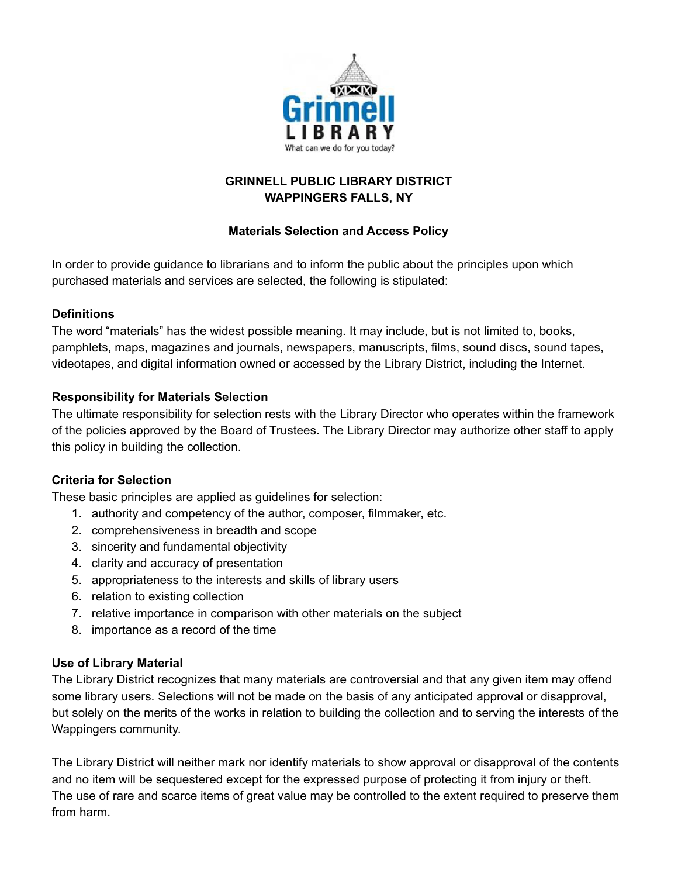

# **GRINNELL PUBLIC LIBRARY DISTRICT WAPPINGERS FALLS, NY**

# **Materials Selection and Access Policy**

In order to provide guidance to librarians and to inform the public about the principles upon which purchased materials and services are selected, the following is stipulated:

# **Definitions**

The word "materials" has the widest possible meaning. It may include, but is not limited to, books, pamphlets, maps, magazines and journals, newspapers, manuscripts, films, sound discs, sound tapes, videotapes, and digital information owned or accessed by the Library District, including the Internet.

# **Responsibility for Materials Selection**

The ultimate responsibility for selection rests with the Library Director who operates within the framework of the policies approved by the Board of Trustees. The Library Director may authorize other staff to apply this policy in building the collection.

# **Criteria for Selection**

These basic principles are applied as guidelines for selection:

- 1. authority and competency of the author, composer, filmmaker, etc.
- 2. comprehensiveness in breadth and scope
- 3. sincerity and fundamental objectivity
- 4. clarity and accuracy of presentation
- 5. appropriateness to the interests and skills of library users
- 6. relation to existing collection
- 7. relative importance in comparison with other materials on the subject
- 8. importance as a record of the time

# **Use of Library Material**

The Library District recognizes that many materials are controversial and that any given item may offend some library users. Selections will not be made on the basis of any anticipated approval or disapproval, but solely on the merits of the works in relation to building the collection and to serving the interests of the Wappingers community.

The Library District will neither mark nor identify materials to show approval or disapproval of the contents and no item will be sequestered except for the expressed purpose of protecting it from injury or theft. The use of rare and scarce items of great value may be controlled to the extent required to preserve them from harm.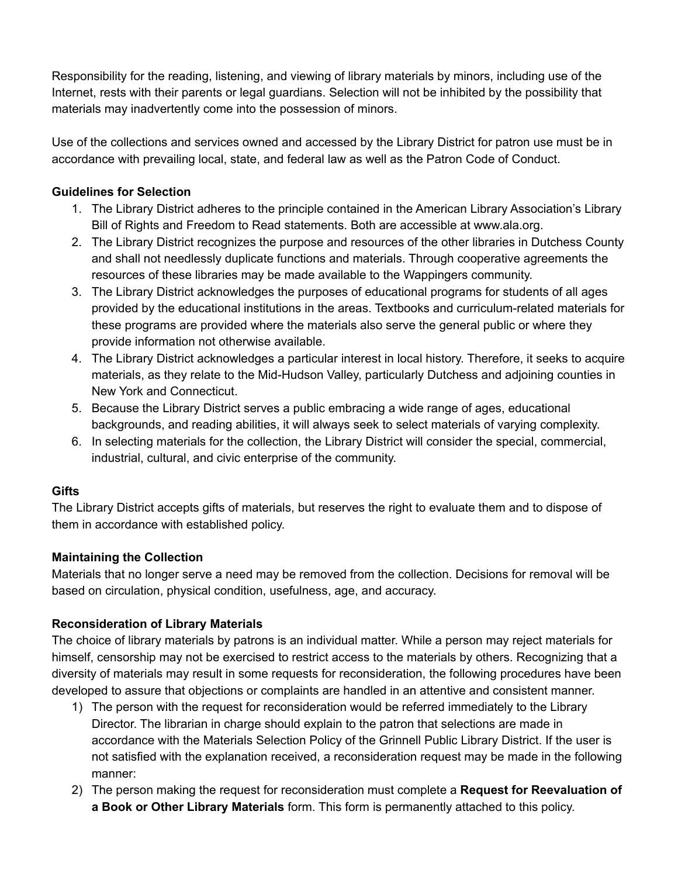Responsibility for the reading, listening, and viewing of library materials by minors, including use of the Internet, rests with their parents or legal guardians. Selection will not be inhibited by the possibility that materials may inadvertently come into the possession of minors.

Use of the collections and services owned and accessed by the Library District for patron use must be in accordance with prevailing local, state, and federal law as well as the Patron Code of Conduct.

# **Guidelines for Selection**

- 1. The Library District adheres to the principle contained in the American Library Association's Library Bill of Rights and Freedom to Read statements. Both are accessible at www.ala.org.
- 2. The Library District recognizes the purpose and resources of the other libraries in Dutchess County and shall not needlessly duplicate functions and materials. Through cooperative agreements the resources of these libraries may be made available to the Wappingers community.
- 3. The Library District acknowledges the purposes of educational programs for students of all ages provided by the educational institutions in the areas. Textbooks and curriculum-related materials for these programs are provided where the materials also serve the general public or where they provide information not otherwise available.
- 4. The Library District acknowledges a particular interest in local history. Therefore, it seeks to acquire materials, as they relate to the Mid-Hudson Valley, particularly Dutchess and adjoining counties in New York and Connecticut.
- 5. Because the Library District serves a public embracing a wide range of ages, educational backgrounds, and reading abilities, it will always seek to select materials of varying complexity.
- 6. In selecting materials for the collection, the Library District will consider the special, commercial, industrial, cultural, and civic enterprise of the community.

# **Gifts**

The Library District accepts gifts of materials, but reserves the right to evaluate them and to dispose of them in accordance with established policy.

# **Maintaining the Collection**

Materials that no longer serve a need may be removed from the collection. Decisions for removal will be based on circulation, physical condition, usefulness, age, and accuracy.

# **Reconsideration of Library Materials**

The choice of library materials by patrons is an individual matter. While a person may reject materials for himself, censorship may not be exercised to restrict access to the materials by others. Recognizing that a diversity of materials may result in some requests for reconsideration, the following procedures have been developed to assure that objections or complaints are handled in an attentive and consistent manner.

- 1) The person with the request for reconsideration would be referred immediately to the Library Director. The librarian in charge should explain to the patron that selections are made in accordance with the Materials Selection Policy of the Grinnell Public Library District. If the user is not satisfied with the explanation received, a reconsideration request may be made in the following manner:
- 2) The person making the request for reconsideration must complete a **Request for Reevaluation of a Book or Other Library Materials** form. This form is permanently attached to this policy.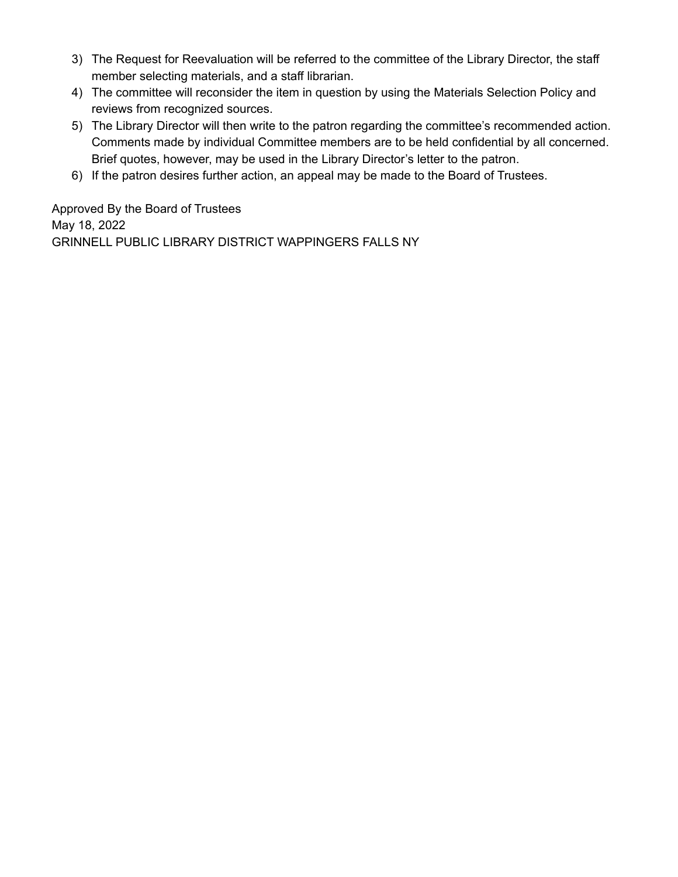- 3) The Request for Reevaluation will be referred to the committee of the Library Director, the staff member selecting materials, and a staff librarian.
- 4) The committee will reconsider the item in question by using the Materials Selection Policy and reviews from recognized sources.
- 5) The Library Director will then write to the patron regarding the committee's recommended action. Comments made by individual Committee members are to be held confidential by all concerned. Brief quotes, however, may be used in the Library Director's letter to the patron.
- 6) If the patron desires further action, an appeal may be made to the Board of Trustees.

Approved By the Board of Trustees May 18, 2022 GRINNELL PUBLIC LIBRARY DISTRICT WAPPINGERS FALLS NY